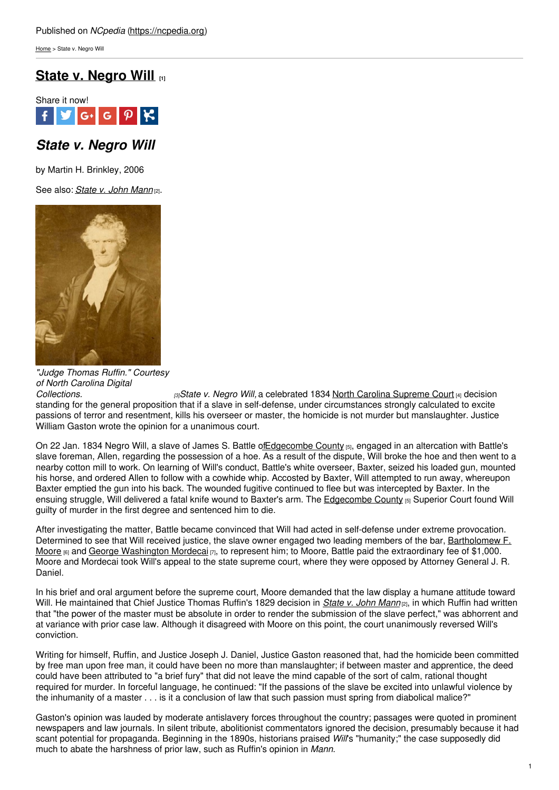[Home](https://ncpedia.org/) > State v. Negro Will

# **State v. [Negro](https://ncpedia.org/state-v-negro-will) Will [1]**



## *State v. Negro Will*

by Martin H. Brinkley, 2006

See also: *[State](https://ncpedia.org/state-v-john-mann) v. John Mann* [2].



*"Judge Thomas Ruffin." Courtesy of North Carolina Digital*

*[Collections.](http://digital.ncdcr.gov/cdm4/document.php?CISOROOT=/p249901coll37&CISOPTR=5125&CISOSHOW=5087) [3]State v. Negro Will,* a celebrated 1834 North Carolina [Supreme](https://ncpedia.org/supreme-court-north-carolina) Court [4] decision standing for the general proposition that if a slave in self-defense, under circumstances strongly calculated to excite passions of terror and resentment, kills his overseer or master, the homicide is not murder but manslaughter. Justice William Gaston wrote the opinion for a unanimous court.

On 22 Jan. 1834 Negro Will, a slave of James S. Battle of Edgecombe County [5], engaged in an altercation with Battle's slave foreman, Allen, regarding the possession of a hoe. As a result of the dispute, Will broke the hoe and then went to a nearby cotton mill to work. On learning of Will's conduct, Battle's white overseer, Baxter, seized his loaded gun, mounted his horse, and ordered Allen to follow with a cowhide whip. Accosted by Baxter, Will attempted to run away, whereupon Baxter emptied the gun into his back. The wounded fugitive continued to flee but was intercepted by Baxter. In the ensuing struggle, Will delivered a fatal knife wound to Baxter's arm. The [Edgecombe](https://ncpedia.org/geography/edgecombe) County [5] Superior Court found Will guilty of murder in the first degree and sentenced him to die.

After investigating the matter, Battle became convinced that Will had acted in self-defense under extreme provocation. Determined to see that Will received justice, the slave owner engaged two leading members of the bar, [Bartholomew](https://ncpedia.org/biography/moore-bartholomew-figures) F. Moore  $[6]$  and George [Washington](https://ncpedia.org/biography/mordecai-george) Mordecai  $[7]$ , to represent him; to Moore, Battle paid the extraordinary fee of \$1,000. Moore and Mordecai took Will's appeal to the state supreme court, where they were opposed by Attorney General J. R. Daniel.

In his brief and oral argument before the supreme court, Moore demanded that the law display a humane attitude toward Will. He maintained that Chief Justice Thomas Ruffin's 1829 decision in *[State](https://ncpedia.org/state-v-john-mann) v. John Mann* [2], in which Ruffin had written that "the power of the master must be absolute in order to render the submission of the slave perfect," was abhorrent and at variance with prior case law. Although it disagreed with Moore on this point, the court unanimously reversed Will's conviction.

Writing for himself, Ruffin, and Justice Joseph J. Daniel, Justice Gaston reasoned that, had the homicide been committed by free man upon free man, it could have been no more than manslaughter; if between master and apprentice, the deed could have been attributed to "a brief fury" that did not leave the mind capable of the sort of calm, rational thought required for murder. In forceful language, he continued: "If the passions of the slave be excited into unlawful violence by the inhumanity of a master . . . is it a conclusion of law that such passion must spring from diabolical malice?"

Gaston's opinion was lauded by moderate antislavery forces throughout the country; passages were quoted in prominent newspapers and law journals. In silent tribute, abolitionist commentators ignored the decision, presumably because it had scant potential for propaganda. Beginning in the 1890s, historians praised *Will*'s "humanity;" the case supposedly did much to abate the harshness of prior law, such as Ruffin's opinion in *Mann*.